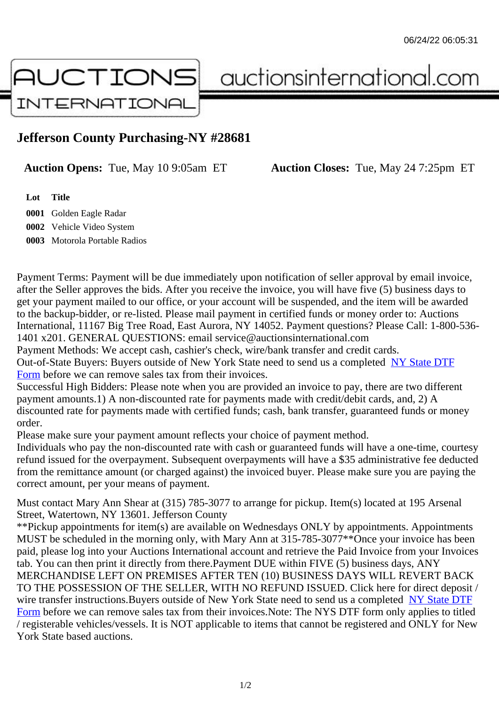## Jefferson County Purchasing-NY #28681

Auction Opens: Tue, May 10 9:05am ET Auction Closes: Tue, May 24 7:25pm ET

Lot Title 0001 Golden Eagle Radar 0002 Vehicle Video System

0003 Motorola Portable Radios

Payment Terms: Payment will be due immediately upon notification of seller approval by email invoice, after the Seller approves the bids. After you receive the invoice, you will have five (5) business days to get your payment mailed to our office, or your account will be suspended, and the item will be awarded to the backup-bidder, or re-listed. Please mail payment in certified funds or money order to: Auctions International, 11167 Big Tree Road, East Aurora, NY 14052. Payment questions? Please Call: 1-800-53 1401 x201. GENERAL QUESTIONS: email service@auctionsinternational.com

Payment Methods: We accept cash, cashier's check, wire/bank transfer and credit cards. Out-of-State Buyers: Buyers outside of New York State need to send us a com blestate DTF Form before we can remove sales tax from their invoices.

Successful High Bidders: Please note when you are provided an invoice to pay, there are two different payment amounts.1) A non-discounted rate for payments made with credit/de[bit cards, and](https://www.auctionsinternational.com/auxiliary/downloads/DTF_Form/dtf_fill_in.pdf), 2) A [disco](https://www.auctionsinternational.com/auxiliary/downloads/DTF_Form/dtf_fill_in.pdf)unted rate for payments made with certified funds; cash, bank transfer, quaranteed funds or mone order.

Please make sure your payment amount reflects your choice of payment method.

Individuals who pay the non-discounted rate with cash or quaranteed funds will have a one-time, courte refund issued for the overpayment. Subsequent overpayments will have a \$35 administrative fee deduc from the remittance amount (or charged against) the invoiced buyer. Please make sure you are paying correct amount, per your means of payment.

Must contact Mary Ann Shear at (315) 785-3077 to arrange for pickup. Item(s) located at 195 Arsenal Street, Watertown, NY 13601. Jefferson County

\*\*Pickup appointments for item(s) are available on Wednesdays ONLY by appointments. Appointments MUST be scheduled in the morning only, with Mary Ann at 315-785-3077\*\*Once your invoice has been paid, please log into your Auctions International account and retrieve the Paid Invoice from your Invoice tab. You can then print it directly from there.Payment DUE within FIVE (5) business days, ANY MERCHANDISE LEFT ON PREMISES AFTER TEN (10) BUSINESS DAYS WILL REVERT BACK TO THE POSSESSION OF THE SELLER, WITH NO REFUND ISSUED. Click here for direct deposit / wire transfer instructions. Buyers outside of New York State need to send us a combleted DTF Form before we can remove sales tax from their invoices.Note: The NYS DTF form only applies to titled / registerable vehicles/vessels. It is NOT applicable to items that cannot be registered and ONLY for New York State based auctions.